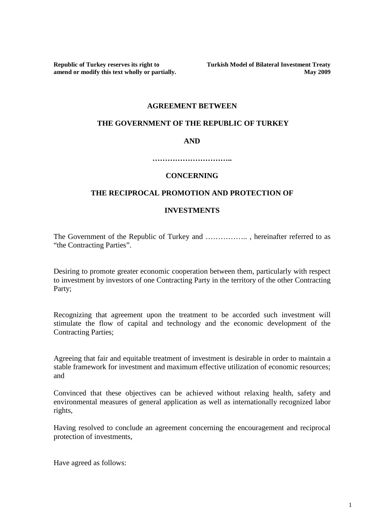amend or modify this text wholly or partially.

**Republic of Turkey reserves its right to** Turkish Model of Bilateral Investment Treaty amend or modify this text wholly or partially. May 2009

#### **AGREEMENT BETWEEN**

#### **THE GOVERNMENT OF THE REPUBLIC OF TURKEY**

#### **AND**

**…………………………..** 

## **CONCERNING**

### **THE RECIPROCAL PROMOTION AND PROTECTION OF**

### **INVESTMENTS**

The Government of the Republic of Turkey and ……………….., hereinafter referred to as "the Contracting Parties".

Desiring to promote greater economic cooperation between them, particularly with respect to investment by investors of one Contracting Party in the territory of the other Contracting Party;

Recognizing that agreement upon the treatment to be accorded such investment will stimulate the flow of capital and technology and the economic development of the Contracting Parties;

Agreeing that fair and equitable treatment of investment is desirable in order to maintain a stable framework for investment and maximum effective utilization of economic resources; and

Convinced that these objectives can be achieved without relaxing health, safety and environmental measures of general application as well as internationally recognized labor rights,

Having resolved to conclude an agreement concerning the encouragement and reciprocal protection of investments,

Have agreed as follows: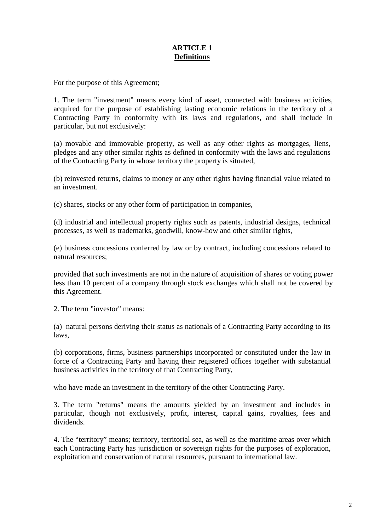# **ARTICLE 1 Definitions**

For the purpose of this Agreement;

1. The term "investment" means every kind of asset, connected with business activities, acquired for the purpose of establishing lasting economic relations in the territory of a Contracting Party in conformity with its laws and regulations, and shall include in particular, but not exclusively:

(a) movable and immovable property, as well as any other rights as mortgages, liens, pledges and any other similar rights as defined in conformity with the laws and regulations of the Contracting Party in whose territory the property is situated,

(b) reinvested returns, claims to money or any other rights having financial value related to an investment.

(c) shares, stocks or any other form of participation in companies,

(d) industrial and intellectual property rights such as patents, industrial designs, technical processes, as well as trademarks, goodwill, know-how and other similar rights,

(e) business concessions conferred by law or by contract, including concessions related to natural resources;

provided that such investments are not in the nature of acquisition of shares or voting power less than 10 percent of a company through stock exchanges which shall not be covered by this Agreement.

2. The term "investor" means:

(a) natural persons deriving their status as nationals of a Contracting Party according to its laws,

(b) corporations, firms, business partnerships incorporated or constituted under the law in force of a Contracting Party and having their registered offices together with substantial business activities in the territory of that Contracting Party,

who have made an investment in the territory of the other Contracting Party.

3. The term "returns" means the amounts yielded by an investment and includes in particular, though not exclusively, profit, interest, capital gains, royalties, fees and dividends.

4. The "territory" means; territory, territorial sea, as well as the maritime areas over which each Contracting Party has jurisdiction or sovereign rights for the purposes of exploration, exploitation and conservation of natural resources, pursuant to international law.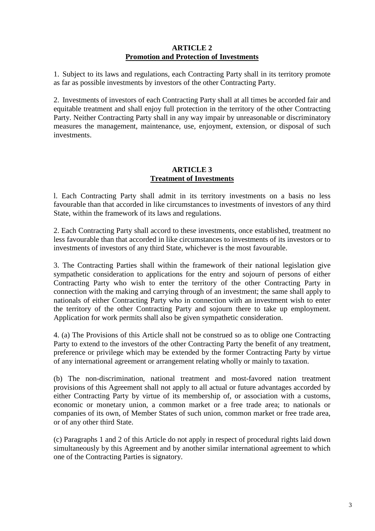## **ARTICLE 2 Promotion and Protection of Investments**

1. Subject to its laws and regulations, each Contracting Party shall in its territory promote as far as possible investments by investors of the other Contracting Party.

2. Investments of investors of each Contracting Party shall at all times be accorded fair and equitable treatment and shall enjoy full protection in the territory of the other Contracting Party. Neither Contracting Party shall in any way impair by unreasonable or discriminatory measures the management, maintenance, use, enjoyment, extension, or disposal of such investments.

## **ARTICLE 3 Treatment of Investments**

l. Each Contracting Party shall admit in its territory investments on a basis no less favourable than that accorded in like circumstances to investments of investors of any third State, within the framework of its laws and regulations.

2. Each Contracting Party shall accord to these investments, once established, treatment no less favourable than that accorded in like circumstances to investments of its investors or to investments of investors of any third State, whichever is the most favourable.

3. The Contracting Parties shall within the framework of their national legislation give sympathetic consideration to applications for the entry and sojourn of persons of either Contracting Party who wish to enter the territory of the other Contracting Party in connection with the making and carrying through of an investment; the same shall apply to nationals of either Contracting Party who in connection with an investment wish to enter the territory of the other Contracting Party and sojourn there to take up employment. Application for work permits shall also be given sympathetic consideration.

4. (a) The Provisions of this Article shall not be construed so as to oblige one Contracting Party to extend to the investors of the other Contracting Party the benefit of any treatment, preference or privilege which may be extended by the former Contracting Party by virtue of any international agreement or arrangement relating wholly or mainly to taxation.

(b) The non-discrimination, national treatment and most-favored nation treatment provisions of this Agreement shall not apply to all actual or future advantages accorded by either Contracting Party by virtue of its membership of, or association with a customs, economic or monetary union, a common market or a free trade area; to nationals or companies of its own, of Member States of such union, common market or free trade area, or of any other third State.

(c) Paragraphs 1 and 2 of this Article do not apply in respect of procedural rights laid down simultaneously by this Agreement and by another similar international agreement to which one of the Contracting Parties is signatory.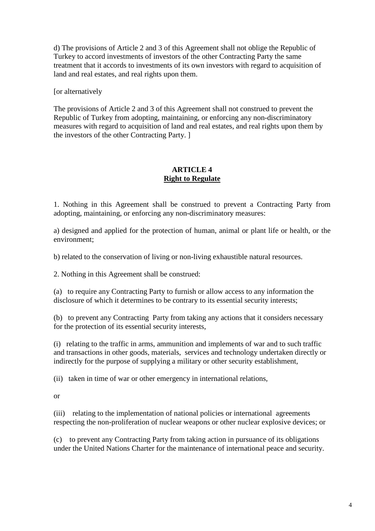d) The provisions of Article 2 and 3 of this Agreement shall not oblige the Republic of Turkey to accord investments of investors of the other Contracting Party the same treatment that it accords to investments of its own investors with regard to acquisition of land and real estates, and real rights upon them.

[or alternatively

The provisions of Article 2 and 3 of this Agreement shall not construed to prevent the Republic of Turkey from adopting, maintaining, or enforcing any non-discriminatory measures with regard to acquisition of land and real estates, and real rights upon them by the investors of the other Contracting Party. ]

# **ARTICLE 4 Right to Regulate**

1. Nothing in this Agreement shall be construed to prevent a Contracting Party from adopting, maintaining, or enforcing any non-discriminatory measures:

a) designed and applied for the protection of human, animal or plant life or health, or the environment;

b) related to the conservation of living or non-living exhaustible natural resources.

2. Nothing in this Agreement shall be construed:

(a) to require any Contracting Party to furnish or allow access to any information the disclosure of which it determines to be contrary to its essential security interests;

(b) to prevent any Contracting Party from taking any actions that it considers necessary for the protection of its essential security interests,

(i) relating to the traffic in arms, ammunition and implements of war and to such traffic and transactions in other goods, materials, services and technology undertaken directly or indirectly for the purpose of supplying a military or other security establishment,

(ii) taken in time of war or other emergency in international relations,

or

(iii) relating to the implementation of national policies or international agreements respecting the non-proliferation of nuclear weapons or other nuclear explosive devices; or

(c) to prevent any Contracting Party from taking action in pursuance of its obligations under the United Nations Charter for the maintenance of international peace and security.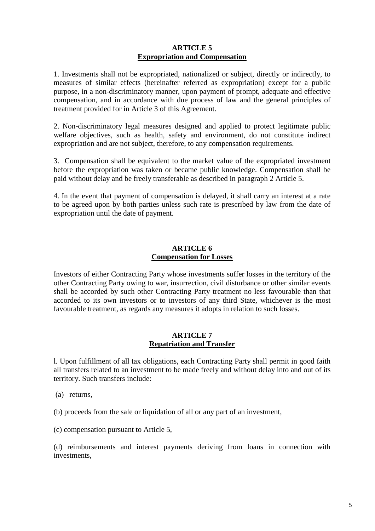### **ARTICLE 5 Expropriation and Compensation**

1. Investments shall not be expropriated, nationalized or subject, directly or indirectly, to measures of similar effects (hereinafter referred as expropriation) except for a public purpose, in a non-discriminatory manner, upon payment of prompt, adequate and effective compensation, and in accordance with due process of law and the general principles of treatment provided for in Article 3 of this Agreement.

2. Non-discriminatory legal measures designed and applied to protect legitimate public welfare objectives, such as health, safety and environment, do not constitute indirect expropriation and are not subject, therefore, to any compensation requirements.

3. Compensation shall be equivalent to the market value of the expropriated investment before the expropriation was taken or became public knowledge. Compensation shall be paid without delay and be freely transferable as described in paragraph 2 Article 5.

4. In the event that payment of compensation is delayed, it shall carry an interest at a rate to be agreed upon by both parties unless such rate is prescribed by law from the date of expropriation until the date of payment.

## **ARTICLE 6 Compensation for Losses**

Investors of either Contracting Party whose investments suffer losses in the territory of the other Contracting Party owing to war, insurrection, civil disturbance or other similar events shall be accorded by such other Contracting Party treatment no less favourable than that accorded to its own investors or to investors of any third State, whichever is the most favourable treatment, as regards any measures it adopts in relation to such losses.

### **ARTICLE 7 Repatriation and Transfer**

l. Upon fulfillment of all tax obligations, each Contracting Party shall permit in good faith all transfers related to an investment to be made freely and without delay into and out of its territory. Such transfers include:

(a) returns,

(b) proceeds from the sale or liquidation of all or any part of an investment,

(c) compensation pursuant to Article 5,

(d) reimbursements and interest payments deriving from loans in connection with investments,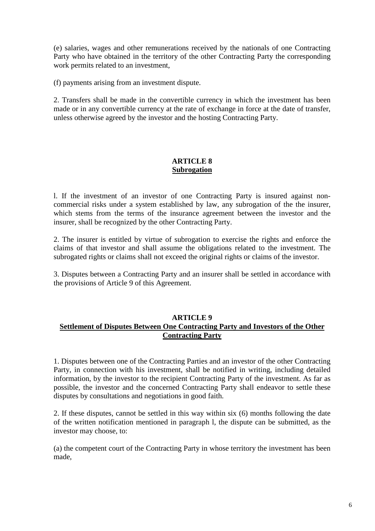(e) salaries, wages and other remunerations received by the nationals of one Contracting Party who have obtained in the territory of the other Contracting Party the corresponding work permits related to an investment,

(f) payments arising from an investment dispute.

2. Transfers shall be made in the convertible currency in which the investment has been made or in any convertible currency at the rate of exchange in force at the date of transfer, unless otherwise agreed by the investor and the hosting Contracting Party.

# **ARTICLE 8 Subrogation**

l. If the investment of an investor of one Contracting Party is insured against noncommercial risks under a system established by law, any subrogation of the the insurer, which stems from the terms of the insurance agreement between the investor and the insurer, shall be recognized by the other Contracting Party.

2. The insurer is entitled by virtue of subrogation to exercise the rights and enforce the claims of that investor and shall assume the obligations related to the investment. The subrogated rights or claims shall not exceed the original rights or claims of the investor.

3. Disputes between a Contracting Party and an insurer shall be settled in accordance with the provisions of Article 9 of this Agreement.

# **ARTICLE 9 Settlement of Disputes Between One Contracting Party and Investors of the Other Contracting Party**

1. Disputes between one of the Contracting Parties and an investor of the other Contracting Party, in connection with his investment, shall be notified in writing, including detailed information, by the investor to the recipient Contracting Party of the investment. As far as possible, the investor and the concerned Contracting Party shall endeavor to settle these disputes by consultations and negotiations in good faith.

2. If these disputes, cannot be settled in this way within six (6) months following the date of the written notification mentioned in paragraph l, the dispute can be submitted, as the investor may choose, to:

(a) the competent court of the Contracting Party in whose territory the investment has been made,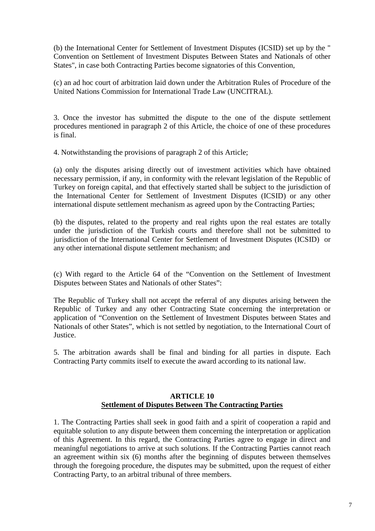(b) the International Center for Settlement of Investment Disputes (ICSID) set up by the " Convention on Settlement of Investment Disputes Between States and Nationals of other States", in case both Contracting Parties become signatories of this Convention,

(c) an ad hoc court of arbitration laid down under the Arbitration Rules of Procedure of the United Nations Commission for International Trade Law (UNCITRAL).

3. Once the investor has submitted the dispute to the one of the dispute settlement procedures mentioned in paragraph 2 of this Article, the choice of one of these procedures is final.

4. Notwithstanding the provisions of paragraph 2 of this Article;

(a) only the disputes arising directly out of investment activities which have obtained necessary permission, if any, in conformity with the relevant legislation of the Republic of Turkey on foreign capital, and that effectively started shall be subject to the jurisdiction of the International Center for Settlement of Investment Disputes (ICSID) or any other international dispute settlement mechanism as agreed upon by the Contracting Parties;

(b) the disputes, related to the property and real rights upon the real estates are totally under the jurisdiction of the Turkish courts and therefore shall not be submitted to jurisdiction of the International Center for Settlement of Investment Disputes (ICSID) or any other international dispute settlement mechanism; and

(c) With regard to the Article 64 of the "Convention on the Settlement of Investment Disputes between States and Nationals of other States":

The Republic of Turkey shall not accept the referral of any disputes arising between the Republic of Turkey and any other Contracting State concerning the interpretation or application of "Convention on the Settlement of Investment Disputes between States and Nationals of other States", which is not settled by negotiation, to the International Court of Justice.

5. The arbitration awards shall be final and binding for all parties in dispute. Each Contracting Party commits itself to execute the award according to its national law.

## **ARTICLE 10 Settlement of Disputes Between The Contracting Parties**

1. The Contracting Parties shall seek in good faith and a spirit of cooperation a rapid and equitable solution to any dispute between them concerning the interpretation or application of this Agreement. In this regard, the Contracting Parties agree to engage in direct and meaningful negotiations to arrive at such solutions. If the Contracting Parties cannot reach an agreement within six (6) months after the beginning of disputes between themselves through the foregoing procedure, the disputes may be submitted, upon the request of either Contracting Party, to an arbitral tribunal of three members.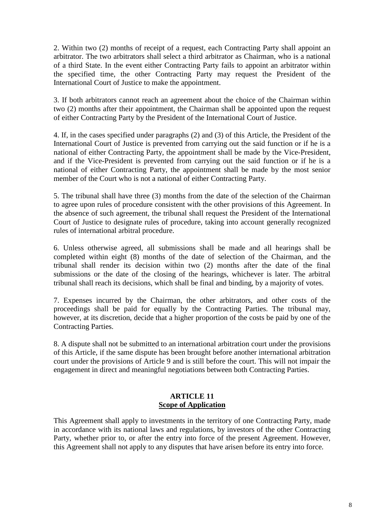2. Within two (2) months of receipt of a request, each Contracting Party shall appoint an arbitrator. The two arbitrators shall select a third arbitrator as Chairman, who is a national of a third State. In the event either Contracting Party fails to appoint an arbitrator within the specified time, the other Contracting Party may request the President of the International Court of Justice to make the appointment.

3. If both arbitrators cannot reach an agreement about the choice of the Chairman within two (2) months after their appointment, the Chairman shall be appointed upon the request of either Contracting Party by the President of the International Court of Justice.

4. If, in the cases specified under paragraphs (2) and (3) of this Article, the President of the International Court of Justice is prevented from carrying out the said function or if he is a national of either Contracting Party, the appointment shall be made by the Vice-President, and if the Vice-President is prevented from carrying out the said function or if he is a national of either Contracting Party, the appointment shall be made by the most senior member of the Court who is not a national of either Contracting Party.

5. The tribunal shall have three (3) months from the date of the selection of the Chairman to agree upon rules of procedure consistent with the other provisions of this Agreement. In the absence of such agreement, the tribunal shall request the President of the International Court of Justice to designate rules of procedure, taking into account generally recognized rules of international arbitral procedure.

6. Unless otherwise agreed, all submissions shall be made and all hearings shall be completed within eight (8) months of the date of selection of the Chairman, and the tribunal shall render its decision within two (2) months after the date of the final submissions or the date of the closing of the hearings, whichever is later. The arbitral tribunal shall reach its decisions, which shall be final and binding, by a majority of votes.

7. Expenses incurred by the Chairman, the other arbitrators, and other costs of the proceedings shall be paid for equally by the Contracting Parties. The tribunal may, however, at its discretion, decide that a higher proportion of the costs be paid by one of the Contracting Parties.

8. A dispute shall not be submitted to an international arbitration court under the provisions of this Article, if the same dispute has been brought before another international arbitration court under the provisions of Article 9 and is still before the court. This will not impair the engagement in direct and meaningful negotiations between both Contracting Parties.

## **ARTICLE 11 Scope of Application**

This Agreement shall apply to investments in the territory of one Contracting Party, made in accordance with its national laws and regulations, by investors of the other Contracting Party, whether prior to, or after the entry into force of the present Agreement. However, this Agreement shall not apply to any disputes that have arisen before its entry into force.